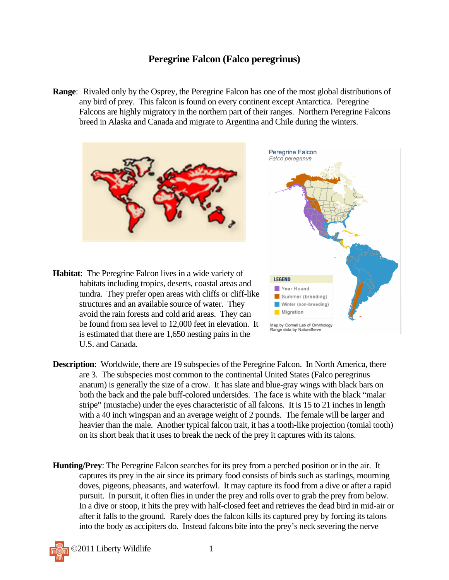## **Peregrine Falcon (Falco peregrinus)**

**Range**: Rivaled only by the Osprey, the Peregrine Falcon has one of the most global distributions of any bird of prey. This falcon is found on every continent except Antarctica. Peregrine Falcons are highly migratory in the northern part of their ranges. Northern Peregrine Falcons breed in Alaska and Canada and migrate to Argentina and Chile during the winters.



Winter (non-breeding)

Map by Cornell Lab of Ornithology Range data by NatureServe

**Migration** 

- habitats including tropics, deserts, coastal areas and tundra. They prefer open areas with cliffs or cliff-like structures and an available source of water. They avoid the rain forests and cold arid areas. They can be found from sea level to 12,000 feet in elevation. It is estimated that there are 1,650 nesting pairs in the U.S. and Canada.
- **Description:** Worldwide, there are 19 subspecies of the Peregrine Falcon. In North America, there are 3. The subspecies most common to the continental United States (Falco peregrinus anatum) is generally the size of a crow. It has slate and blue-gray wings with black bars on both the back and the pale buff-colored undersides. The face is white with the black "malar stripe" (mustache) under the eyes characteristic of all falcons. It is 15 to 21 inches in length with a 40 inch wingspan and an average weight of 2 pounds. The female will be larger and heavier than the male. Another typical falcon trait, it has a tooth-like projection (tomial tooth) on its short beak that it uses to break the neck of the prey it captures with its talons.
- **Hunting/Prey**: The Peregrine Falcon searches for its prey from a perched position or in the air. It captures its prey in the air since its primary food consists of birds such as starlings, mourning doves, pigeons, pheasants, and waterfowl. It may capture its food from a dive or after a rapid pursuit. In pursuit, it often flies in under the prey and rolls over to grab the prey from below. In a dive or stoop, it hits the prey with half-closed feet and retrieves the dead bird in mid-air or after it falls to the ground. Rarely does the falcon kills its captured prey by forcing its talons into the body as accipiters do. Instead falcons bite into the prey's neck severing the nerve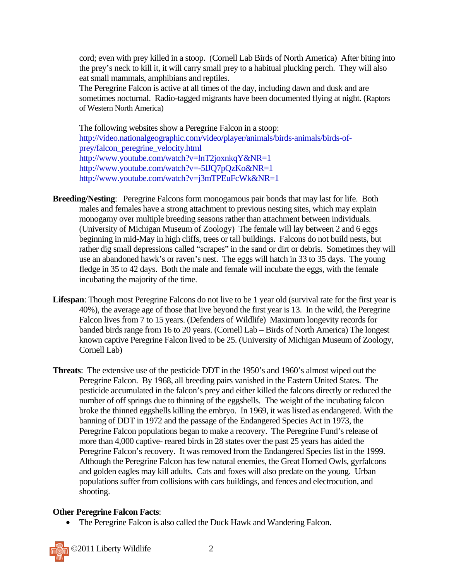cord; even with prey killed in a stoop. (Cornell Lab Birds of North America) After biting into the prey's neck to kill it, it will carry small prey to a habitual plucking perch. They will also eat small mammals, amphibians and reptiles.

The Peregrine Falcon is active at all times of the day, including dawn and dusk and are sometimes nocturnal. Radio-tagged migrants have been documented flying at night. (Raptors of Western North America)

The following websites show a Peregrine Falcon in a stoop: http://video.nationalgeographic.com/video/player/animals/birds-animals/birds-ofprey/falcon\_peregrine\_velocity.html http://www.youtube.com/watch?v=lnT2joxnkqY&NR=1 http://www.youtube.com/watch?v=-5lJQ7pQzKo&NR=1 http://www.youtube.com/watch?v=j3mTPEuFcWk&NR=1

- **Breeding/Nesting**: Peregrine Falcons form monogamous pair bonds that may last for life. Both males and females have a strong attachment to previous nesting sites, which may explain monogamy over multiple breeding seasons rather than attachment between individuals. (University of Michigan Museum of Zoology) The female will lay between 2 and 6 eggs beginning in mid-May in high cliffs, trees or tall buildings. Falcons do not build nests, but rather dig small depressions called "scrapes" in the sand or dirt or debris. Sometimes they will use an abandoned hawk's or raven's nest. The eggs will hatch in 33 to 35 days. The young fledge in 35 to 42 days. Both the male and female will incubate the eggs, with the female incubating the majority of the time.
- **Lifespan**: Though most Peregrine Falcons do not live to be 1 year old (survival rate for the first year is 40%), the average age of those that live beyond the first year is 13. In the wild, the Peregrine Falcon lives from 7 to 15 years. (Defenders of Wildlife) Maximum longevity records for banded birds range from 16 to 20 years. (Cornell Lab – Birds of North America) The longest known captive Peregrine Falcon lived to be 25. (University of Michigan Museum of Zoology, Cornell Lab)
- **Threats**: The extensive use of the pesticide DDT in the 1950's and 1960's almost wiped out the Peregrine Falcon. By 1968, all breeding pairs vanished in the Eastern United States. The pesticide accumulated in the falcon's prey and either killed the falcons directly or reduced the number of off springs due to thinning of the eggshells. The weight of the incubating falcon broke the thinned eggshells killing the embryo. In 1969, it was listed as endangered. With the banning of DDT in 1972 and the passage of the Endangered Species Act in 1973, the Peregrine Falcon populations began to make a recovery. The Peregrine Fund's release of more than 4,000 captive- reared birds in 28 states over the past 25 years has aided the Peregrine Falcon's recovery. It was removed from the Endangered Species list in the 1999. Although the Peregrine Falcon has few natural enemies, the Great Horned Owls, gyrfalcons and golden eagles may kill adults. Cats and foxes will also predate on the young. Urban populations suffer from collisions with cars buildings, and fences and electrocution, and shooting.

## **Other Peregrine Falcon Facts**:

• The Peregrine Falcon is also called the Duck Hawk and Wandering Falcon.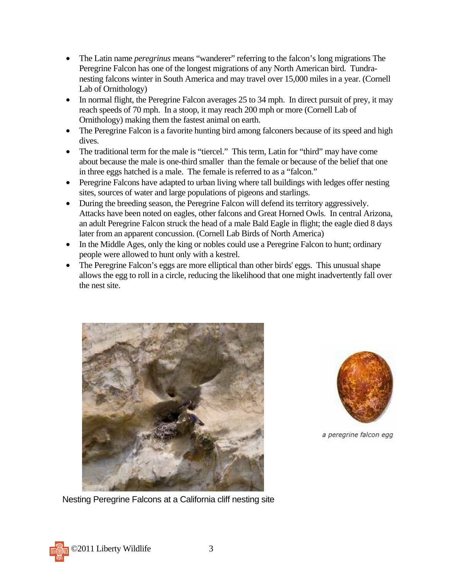- The Latin name *peregrinus* means "wanderer" referring to the falcon's long migrations The Peregrine Falcon has one of the longest migrations of any North American bird. Tundranesting falcons winter in South America and may travel over 15,000 miles in a year. (Cornell Lab of Ornithology)
- In normal flight, the Peregrine Falcon averages 25 to 34 mph. In direct pursuit of prey, it may reach speeds of 70 mph. In a stoop, it may reach 200 mph or more (Cornell Lab of Ornithology) making them the fastest animal on earth.
- The Peregrine Falcon is a favorite hunting bird among falconers because of its speed and high dives.
- The traditional term for the male is "tiercel." This term, Latin for "third" may have come about because the male is one-third smaller than the female or because of the belief that one in three eggs hatched is a male. The female is referred to as a "falcon."
- Peregrine Falcons have adapted to urban living where tall buildings with ledges offer nesting sites, sources of water and large populations of pigeons and starlings.
- During the breeding season, the Peregrine Falcon will defend its territory aggressively. Attacks have been noted on eagles, other falcons and Great Horned Owls. In central Arizona, an adult Peregrine Falcon struck the head of a male Bald Eagle in flight; the eagle died 8 days later from an apparent concussion. (Cornell Lab Birds of North America)
- In the Middle Ages, only the king or nobles could use a Peregrine Falcon to hunt; ordinary people were allowed to hunt only with a kestrel.
- The Peregrine Falcon's eggs are more elliptical than other birds' eggs. This unusual shape allows the egg to roll in a circle, reducing the likelihood that one might inadvertently fall over the nest site.





a peregrine falcon egg

Nesting Peregrine Falcons at a California cliff nesting site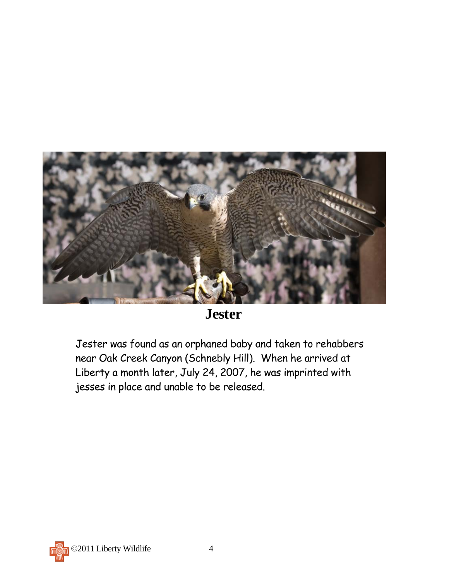

## **Jester**

Jester was found as an orphaned baby and taken to rehabbers near Oak Creek Canyon (Schnebly Hill). When he arrived at Liberty a month later, July 24, 2007, he was imprinted with jesses in place and unable to be released.